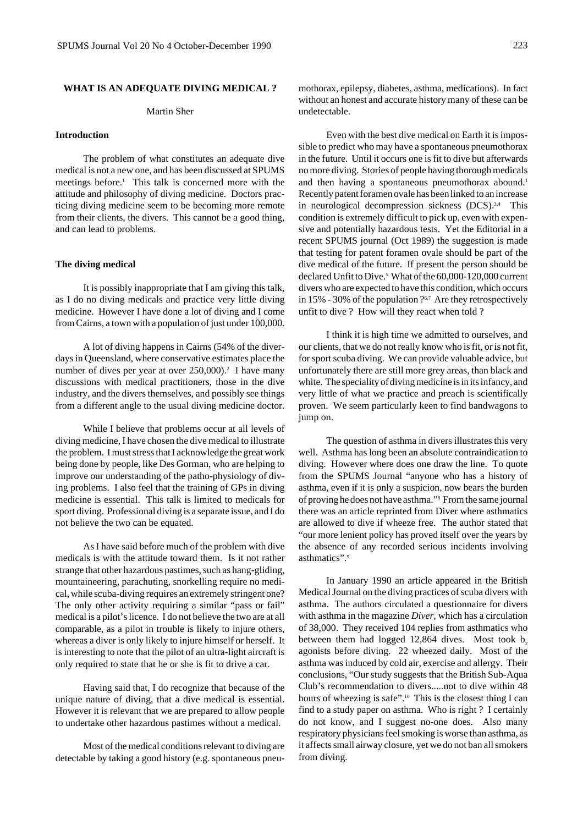### **WHAT IS AN ADEQUATE DIVING MEDICAL ?**

### Martin Sher

## **Introduction**

The problem of what constitutes an adequate dive medical is not a new one, and has been discussed at SPUMS meetings before.<sup>1</sup> This talk is concerned more with the attitude and philosophy of diving medicine. Doctors practicing diving medicine seem to be becoming more remote from their clients, the divers. This cannot be a good thing, and can lead to problems.

### **The diving medical**

It is possibly inappropriate that I am giving this talk, as I do no diving medicals and practice very little diving medicine. However I have done a lot of diving and I come from Cairns, a town with a population of just under 100,000.

A lot of diving happens in Cairns (54% of the diverdays in Queensland, where conservative estimates place the number of dives per year at over 250,000).<sup>2</sup> I have many discussions with medical practitioners, those in the dive industry, and the divers themselves, and possibly see things from a different angle to the usual diving medicine doctor.

While I believe that problems occur at all levels of diving medicine, I have chosen the dive medical to illustrate the problem. I must stress that I acknowledge the great work being done by people, like Des Gorman, who are helping to improve our understanding of the patho-physiology of diving problems. I also feel that the training of GPs in diving medicine is essential. This talk is limited to medicals for sport diving. Professional diving is a separate issue, and I do not believe the two can be equated.

As I have said before much of the problem with dive medicals is with the attitude toward them. Is it not rather strange that other hazardous pastimes, such as hang-gliding, mountaineering, parachuting, snorkelling require no medical, while scuba-diving requires an extremely stringent one? The only other activity requiring a similar "pass or fail" medical is a pilot's licence. I do not believe the two are at all comparable, as a pilot in trouble is likely to injure others, whereas a diver is only likely to injure himself or herself. It is interesting to note that the pilot of an ultra-light aircraft is only required to state that he or she is fit to drive a car.

Having said that, I do recognize that because of the unique nature of diving, that a dive medical is essential. However it is relevant that we are prepared to allow people to undertake other hazardous pastimes without a medical.

Most of the medical conditions relevant to diving are detectable by taking a good history (e.g. spontaneous pneumothorax, epilepsy, diabetes, asthma, medications). In fact without an honest and accurate history many of these can be undetectable.

Even with the best dive medical on Earth it is impossible to predict who may have a spontaneous pneumothorax in the future. Until it occurs one is fit to dive but afterwards no more diving. Stories of people having thorough medicals and then having a spontaneous pneumothorax abound.<sup>1</sup> Recently patent foramen ovale has been linked to an increase in neurological decompression sickness (DCS).<sup>3,4</sup> This condition is extremely difficult to pick up, even with expensive and potentially hazardous tests. Yet the Editorial in a recent SPUMS journal (Oct 1989) the suggestion is made that testing for patent foramen ovale should be part of the dive medical of the future. If present the person should be declared Unfit to Dive.<sup>5</sup> What of the 60,000-120,000 current divers who are expected to have this condition, which occurs in  $15\%$  - 30% of the population  $?6,7$  Are they retrospectively unfit to dive ? How will they react when told ?

I think it is high time we admitted to ourselves, and our clients, that we do not really know who is fit, or is not fit, for sport scuba diving. We can provide valuable advice, but unfortunately there are still more grey areas, than black and white. The speciality of diving medicine is in its infancy, and very little of what we practice and preach is scientifically proven. We seem particularly keen to find bandwagons to jump on.

The question of asthma in divers illustrates this very well. Asthma has long been an absolute contraindication to diving. However where does one draw the line. To quote from the SPUMS Journal "anyone who has a history of asthma, even if it is only a suspicion, now bears the burden of proving he does not have asthma."8 From the same journal there was an article reprinted from Diver where asthmatics are allowed to dive if wheeze free. The author stated that "our more lenient policy has proved itself over the years by the absence of any recorded serious incidents involving asthmatics".9

In January 1990 an article appeared in the British Medical Journal on the diving practices of scuba divers with asthma. The authors circulated a questionnaire for divers with asthma in the magazine *Diver*, which has a circulation of 38,000. They received 104 replies from asthmatics who between them had logged  $12,864$  dives. Most took  $b<sub>2</sub>$ agonists before diving. 22 wheezed daily. Most of the asthma was induced by cold air, exercise and allergy. Their conclusions, "Our study suggests that the British Sub-Aqua Club's recommendation to divers.....not to dive within 48 hours of wheezing is safe".10 This is the closest thing I can find to a study paper on asthma. Who is right ? I certainly do not know, and I suggest no-one does. Also many respiratory physicians feel smoking is worse than asthma, as it affects small airway closure, yet we do not ban all smokers from diving.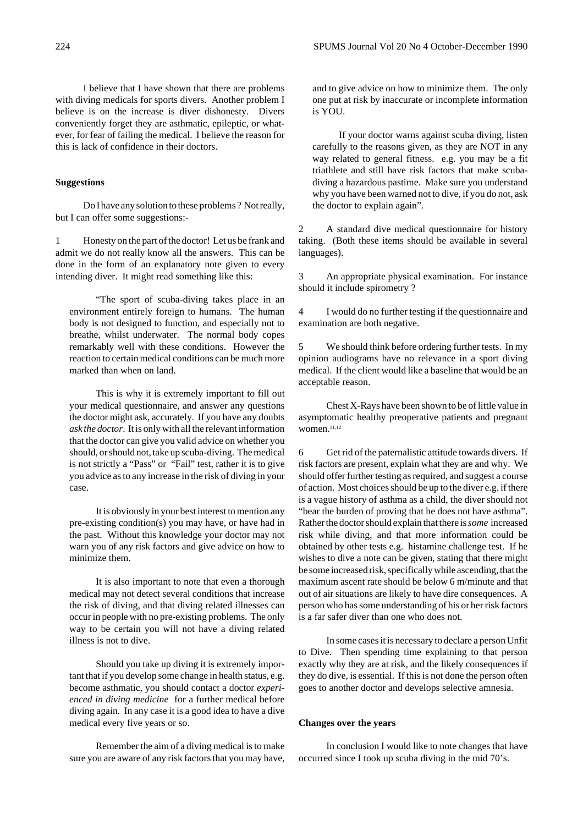I believe that I have shown that there are problems with diving medicals for sports divers. Another problem I believe is on the increase is diver dishonesty. Divers conveniently forget they are asthmatic, epileptic, or whatever, for fear of failing the medical. I believe the reason for this is lack of confidence in their doctors.

# **Suggestions**

Do I have any solution to these problems ? Not really, but I can offer some suggestions:-

1 Honesty on the part of the doctor! Let us be frank and admit we do not really know all the answers. This can be done in the form of an explanatory note given to every intending diver. It might read something like this:

"The sport of scuba-diving takes place in an environment entirely foreign to humans. The human body is not designed to function, and especially not to breathe, whilst underwater. The normal body copes remarkably well with these conditions. However the reaction to certain medical conditions can be much more marked than when on land.

This is why it is extremely important to fill out your medical questionnaire, and answer any questions the doctor might ask, accurately. If you have any doubts *ask the doctor*. It is only with all the relevant information that the doctor can give you valid advice on whether you should, or should not, take up scuba-diving. The medical is not strictly a "Pass" or "Fail" test, rather it is to give you advice as to any increase in the risk of diving in your case.

It is obviously in your best interest to mention any pre-existing condition(s) you may have, or have had in the past. Without this knowledge your doctor may not warn you of any risk factors and give advice on how to minimize them.

It is also important to note that even a thorough medical may not detect several conditions that increase the risk of diving, and that diving related illnesses can occur in people with no pre-existing problems. The only way to be certain you will not have a diving related illness is not to dive.

Should you take up diving it is extremely important that if you develop some change in health status, e.g. become asthmatic, you should contact a doctor *experienced in diving medicine* for a further medical before diving again. In any case it is a good idea to have a dive medical every five years or so.

Remember the aim of a diving medical is to make sure you are aware of any risk factors that you may have, and to give advice on how to minimize them. The only one put at risk by inaccurate or incomplete information is YOU.

If your doctor warns against scuba diving, listen carefully to the reasons given, as they are NOT in any way related to general fitness. e.g. you may be a fit triathlete and still have risk factors that make scubadiving a hazardous pastime. Make sure you understand why you have been warned not to dive, if you do not, ask the doctor to explain again".

2 A standard dive medical questionnaire for history taking. (Both these items should be available in several languages).

3 An appropriate physical examination. For instance should it include spirometry ?

4 I would do no further testing if the questionnaire and examination are both negative.

5 We should think before ordering further tests. In my opinion audiograms have no relevance in a sport diving medical. If the client would like a baseline that would be an acceptable reason.

Chest X-Rays have been shown to be of little value in asymptomatic healthy preoperative patients and pregnant women.11,12

6 Get rid of the paternalistic attitude towards divers. If risk factors are present, explain what they are and why. We should offer further testing as required, and suggest a course of action. Most choices should be up to the diver e.g. if there is a vague history of asthma as a child, the diver should not "bear the burden of proving that he does not have asthma". Rather the doctor should explain that there is *some* increased risk while diving, and that more information could be obtained by other tests e.g. histamine challenge test. If he wishes to dive a note can be given, stating that there might be some increased risk, specifically while ascending, that the maximum ascent rate should be below 6 m/minute and that out of air situations are likely to have dire consequences. A person who has some understanding of his or her risk factors is a far safer diver than one who does not.

In some cases it is necessary to declare a person Unfit to Dive. Then spending time explaining to that person exactly why they are at risk, and the likely consequences if they do dive, is essential. If this is not done the person often goes to another doctor and develops selective amnesia.

### **Changes over the years**

In conclusion I would like to note changes that have occurred since I took up scuba diving in the mid 70's.